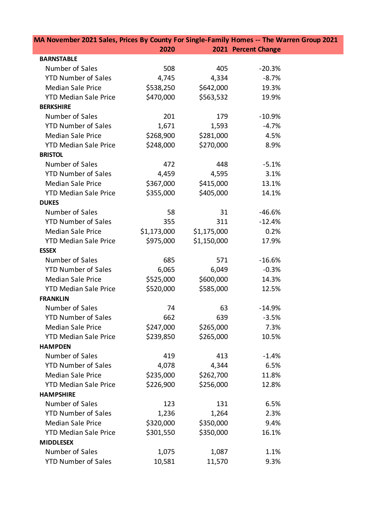| MA November 2021 Sales, Prices By County For Single-Family Homes -- The Warren Group 2021 |             |             |                     |  |
|-------------------------------------------------------------------------------------------|-------------|-------------|---------------------|--|
|                                                                                           | 2020        |             | 2021 Percent Change |  |
| <b>BARNSTABLE</b>                                                                         |             |             |                     |  |
| Number of Sales                                                                           | 508         | 405         | $-20.3%$            |  |
| <b>YTD Number of Sales</b>                                                                | 4,745       | 4,334       | $-8.7%$             |  |
| <b>Median Sale Price</b>                                                                  | \$538,250   | \$642,000   | 19.3%               |  |
| <b>YTD Median Sale Price</b>                                                              | \$470,000   | \$563,532   | 19.9%               |  |
| <b>BERKSHIRE</b>                                                                          |             |             |                     |  |
| Number of Sales                                                                           | 201         | 179         | $-10.9%$            |  |
| <b>YTD Number of Sales</b>                                                                | 1,671       | 1,593       | $-4.7%$             |  |
| <b>Median Sale Price</b>                                                                  | \$268,900   | \$281,000   | 4.5%                |  |
| <b>YTD Median Sale Price</b>                                                              | \$248,000   | \$270,000   | 8.9%                |  |
| <b>BRISTOL</b>                                                                            |             |             |                     |  |
| Number of Sales                                                                           | 472         | 448         | $-5.1%$             |  |
| <b>YTD Number of Sales</b>                                                                | 4,459       | 4,595       | 3.1%                |  |
| <b>Median Sale Price</b>                                                                  | \$367,000   | \$415,000   | 13.1%               |  |
| <b>YTD Median Sale Price</b>                                                              | \$355,000   | \$405,000   | 14.1%               |  |
| <b>DUKES</b>                                                                              |             |             |                     |  |
| Number of Sales                                                                           | 58          | 31          | $-46.6%$            |  |
| <b>YTD Number of Sales</b>                                                                | 355         | 311         | $-12.4%$            |  |
| <b>Median Sale Price</b>                                                                  | \$1,173,000 | \$1,175,000 | 0.2%                |  |
| <b>YTD Median Sale Price</b>                                                              | \$975,000   | \$1,150,000 | 17.9%               |  |
| <b>ESSEX</b>                                                                              |             |             |                     |  |
| Number of Sales                                                                           | 685         | 571         | $-16.6%$            |  |
| <b>YTD Number of Sales</b>                                                                | 6,065       | 6,049       | $-0.3%$             |  |
| <b>Median Sale Price</b>                                                                  | \$525,000   | \$600,000   | 14.3%               |  |
| <b>YTD Median Sale Price</b>                                                              | \$520,000   | \$585,000   | 12.5%               |  |
| <b>FRANKLIN</b>                                                                           |             |             |                     |  |
| Number of Sales                                                                           | 74          | 63          | $-14.9%$            |  |
| <b>YTD Number of Sales</b>                                                                | 662         | 639         | $-3.5%$             |  |
| <b>Median Sale Price</b>                                                                  | \$247,000   | \$265,000   | 7.3%                |  |
| <b>YTD Median Sale Price</b>                                                              | \$239,850   | \$265,000   | 10.5%               |  |
| <b>HAMPDEN</b>                                                                            |             |             |                     |  |
| Number of Sales                                                                           | 419         | 413         | $-1.4%$             |  |
| <b>YTD Number of Sales</b>                                                                | 4,078       | 4,344       | 6.5%                |  |
| <b>Median Sale Price</b>                                                                  | \$235,000   | \$262,700   | 11.8%               |  |
| <b>YTD Median Sale Price</b>                                                              | \$226,900   | \$256,000   | 12.8%               |  |
| <b>HAMPSHIRE</b>                                                                          |             |             |                     |  |
| Number of Sales                                                                           | 123         | 131         | 6.5%                |  |
| <b>YTD Number of Sales</b>                                                                | 1,236       | 1,264       | 2.3%                |  |
| <b>Median Sale Price</b>                                                                  | \$320,000   | \$350,000   | 9.4%                |  |
| <b>YTD Median Sale Price</b>                                                              | \$301,550   | \$350,000   | 16.1%               |  |
| <b>MIDDLESEX</b>                                                                          |             |             |                     |  |
| Number of Sales                                                                           | 1,075       | 1,087       | 1.1%                |  |
| <b>YTD Number of Sales</b>                                                                | 10,581      | 11,570      | 9.3%                |  |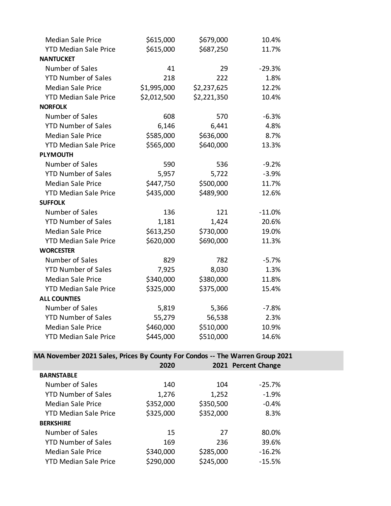| <b>Median Sale Price</b>     | \$615,000   | \$679,000   | 10.4%    |
|------------------------------|-------------|-------------|----------|
| <b>YTD Median Sale Price</b> | \$615,000   | \$687,250   | 11.7%    |
| <b>NANTUCKET</b>             |             |             |          |
| Number of Sales              | 41          | 29          | $-29.3%$ |
| <b>YTD Number of Sales</b>   | 218         | 222         | 1.8%     |
| <b>Median Sale Price</b>     | \$1,995,000 | \$2,237,625 | 12.2%    |
| <b>YTD Median Sale Price</b> | \$2,012,500 | \$2,221,350 | 10.4%    |
| <b>NORFOLK</b>               |             |             |          |
| Number of Sales              | 608         | 570         | $-6.3%$  |
| <b>YTD Number of Sales</b>   | 6,146       | 6,441       | 4.8%     |
| <b>Median Sale Price</b>     | \$585,000   | \$636,000   | 8.7%     |
| <b>YTD Median Sale Price</b> | \$565,000   | \$640,000   | 13.3%    |
| <b>PLYMOUTH</b>              |             |             |          |
| Number of Sales              | 590         | 536         | $-9.2%$  |
| <b>YTD Number of Sales</b>   | 5,957       | 5,722       | $-3.9%$  |
| <b>Median Sale Price</b>     | \$447,750   | \$500,000   | 11.7%    |
| <b>YTD Median Sale Price</b> | \$435,000   | \$489,900   | 12.6%    |
| <b>SUFFOLK</b>               |             |             |          |
| Number of Sales              | 136         | 121         | $-11.0%$ |
| <b>YTD Number of Sales</b>   | 1,181       | 1,424       | 20.6%    |
| <b>Median Sale Price</b>     | \$613,250   | \$730,000   | 19.0%    |
| <b>YTD Median Sale Price</b> | \$620,000   | \$690,000   | 11.3%    |
| <b>WORCESTER</b>             |             |             |          |
| Number of Sales              | 829         | 782         | $-5.7%$  |
| <b>YTD Number of Sales</b>   | 7,925       | 8,030       | 1.3%     |
| <b>Median Sale Price</b>     | \$340,000   | \$380,000   | 11.8%    |
| <b>YTD Median Sale Price</b> | \$325,000   | \$375,000   | 15.4%    |
| <b>ALL COUNTIES</b>          |             |             |          |
| Number of Sales              | 5,819       | 5,366       | $-7.8%$  |
| <b>YTD Number of Sales</b>   | 55,279      | 56,538      | 2.3%     |
| <b>Median Sale Price</b>     | \$460,000   | \$510,000   | 10.9%    |
| <b>YTD Median Sale Price</b> | \$445,000   | \$510,000   | 14.6%    |

**MA November 2021 Sales, Prices By County For Condos -- The Warren Group 2021**

|                              | 2020      |           | 2021 Percent Change |  |
|------------------------------|-----------|-----------|---------------------|--|
| <b>BARNSTABLE</b>            |           |           |                     |  |
| Number of Sales              | 140       | 104       | $-25.7%$            |  |
| <b>YTD Number of Sales</b>   | 1,276     | 1,252     | $-1.9%$             |  |
| Median Sale Price            | \$352,000 | \$350,500 | $-0.4%$             |  |
| <b>YTD Median Sale Price</b> | \$325,000 | \$352,000 | 8.3%                |  |
| <b>BERKSHIRE</b>             |           |           |                     |  |
| Number of Sales              | 15        | 27        | 80.0%               |  |
| <b>YTD Number of Sales</b>   | 169       | 236       | 39.6%               |  |
| Median Sale Price            | \$340,000 | \$285,000 | $-16.2%$            |  |
| <b>YTD Median Sale Price</b> | \$290,000 | \$245,000 | $-15.5%$            |  |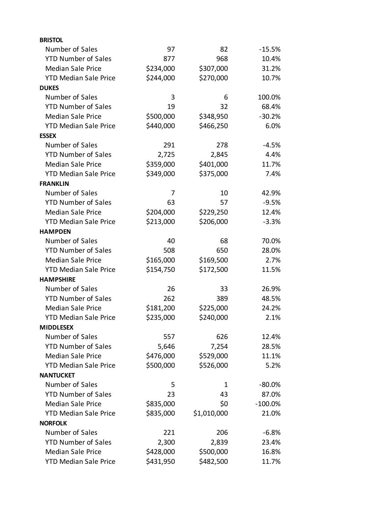| <b>BRISTOL</b>               |           |             |            |
|------------------------------|-----------|-------------|------------|
| Number of Sales              | 97        | 82          | $-15.5%$   |
| <b>YTD Number of Sales</b>   | 877       | 968         | 10.4%      |
| <b>Median Sale Price</b>     | \$234,000 | \$307,000   | 31.2%      |
| <b>YTD Median Sale Price</b> | \$244,000 | \$270,000   | 10.7%      |
| <b>DUKES</b>                 |           |             |            |
| Number of Sales              | 3         | 6           | 100.0%     |
| <b>YTD Number of Sales</b>   | 19        | 32          | 68.4%      |
| <b>Median Sale Price</b>     | \$500,000 | \$348,950   | $-30.2%$   |
| <b>YTD Median Sale Price</b> | \$440,000 | \$466,250   | 6.0%       |
| <b>ESSEX</b>                 |           |             |            |
| Number of Sales              | 291       | 278         | $-4.5%$    |
| <b>YTD Number of Sales</b>   | 2,725     | 2,845       | 4.4%       |
| <b>Median Sale Price</b>     | \$359,000 | \$401,000   | 11.7%      |
| <b>YTD Median Sale Price</b> | \$349,000 | \$375,000   | 7.4%       |
| <b>FRANKLIN</b>              |           |             |            |
| Number of Sales              | 7         | 10          | 42.9%      |
| <b>YTD Number of Sales</b>   | 63        | 57          | $-9.5%$    |
| <b>Median Sale Price</b>     | \$204,000 | \$229,250   | 12.4%      |
| <b>YTD Median Sale Price</b> | \$213,000 | \$206,000   | $-3.3%$    |
| <b>HAMPDEN</b>               |           |             |            |
| Number of Sales              | 40        | 68          | 70.0%      |
| <b>YTD Number of Sales</b>   | 508       | 650         | 28.0%      |
| <b>Median Sale Price</b>     | \$165,000 | \$169,500   | 2.7%       |
| <b>YTD Median Sale Price</b> | \$154,750 | \$172,500   | 11.5%      |
| <b>HAMPSHIRE</b>             |           |             |            |
| Number of Sales              | 26        | 33          | 26.9%      |
| <b>YTD Number of Sales</b>   | 262       | 389         | 48.5%      |
| <b>Median Sale Price</b>     | \$181,200 | \$225,000   | 24.2%      |
| <b>YTD Median Sale Price</b> | \$235,000 | \$240,000   | 2.1%       |
| <b>MIDDLESEX</b>             |           |             |            |
| Number of Sales              | 557       | 626         | 12.4%      |
| <b>YTD Number of Sales</b>   | 5,646     | 7,254       | 28.5%      |
| <b>Median Sale Price</b>     | \$476,000 | \$529,000   | 11.1%      |
| <b>YTD Median Sale Price</b> | \$500,000 | \$526,000   | 5.2%       |
| <b>NANTUCKET</b>             |           |             |            |
| Number of Sales              | 5         | 1           | $-80.0%$   |
| <b>YTD Number of Sales</b>   | 23        | 43          | 87.0%      |
| <b>Median Sale Price</b>     | \$835,000 | \$0         | $-100.0\%$ |
| <b>YTD Median Sale Price</b> | \$835,000 | \$1,010,000 | 21.0%      |
| <b>NORFOLK</b>               |           |             |            |
| Number of Sales              | 221       | 206         | $-6.8%$    |
| <b>YTD Number of Sales</b>   | 2,300     | 2,839       | 23.4%      |
| <b>Median Sale Price</b>     | \$428,000 | \$500,000   | 16.8%      |
| <b>YTD Median Sale Price</b> | \$431,950 | \$482,500   | 11.7%      |